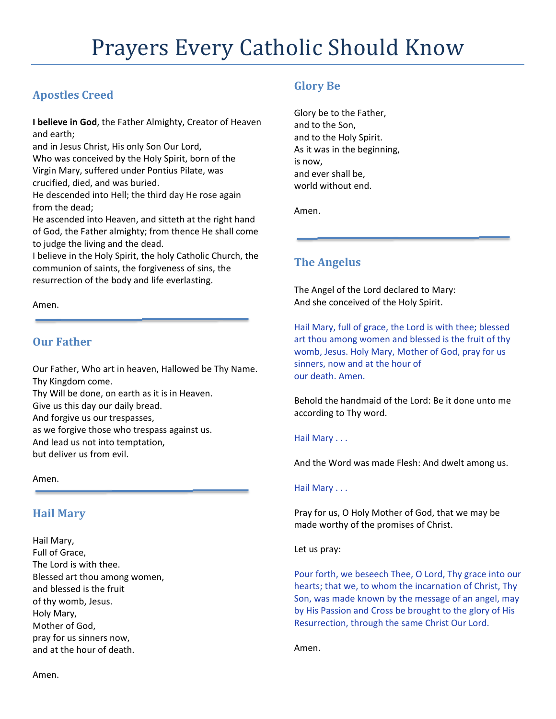# **Apostles Creed**

**I believe in God**, the Father Almighty, Creator of Heaven and earth;

and in Jesus Christ, His only Son Our Lord, Who was conceived by the Holy Spirit, born of the Virgin Mary, suffered under Pontius Pilate, was crucified, died, and was buried.

He descended into Hell; the third day He rose again from the dead;

He ascended into Heaven, and sitteth at the right hand of God, the Father almighty; from thence He shall come to judge the living and the dead.

I believe in the Holy Spirit, the holy Catholic Church, the communion of saints, the forgiveness of sins, the resurrection of the body and life everlasting.

Amen.

# **Our Father**

Our Father, Who art in heaven, Hallowed be Thy Name. Thy Kingdom come.

Thy Will be done, on earth as it is in Heaven. Give us this day our daily bread. And forgive us our trespasses, as we forgive those who trespass against us. And lead us not into temptation, but deliver us from evil.

Amen.

# **Hail Mary**

Hail Mary, Full of Grace, The Lord is with thee. Blessed art thou among women, and blessed is the fruit of thy womb, Jesus. Holy Mary, Mother of God, pray for us sinners now, and at the hour of death.

# **Glory Be**

Glory be to the Father, and to the Son, and to the Holy Spirit. As it was in the beginning, is now, and ever shall be, world without end.

Amen.

# **The Angelus**

The Angel of the Lord declared to Mary: And she conceived of the Holy Spirit.

Hail Mary, full of grace, the Lord is with thee; blessed art thou among women and blessed is the fruit of thy womb, Jesus. Holy Mary, Mother of God, pray for us sinners, now and at the hour of our death. Amen.

Behold the handmaid of the Lord: Be it done unto me according to Thy word.

### Hail Mary . . .

And the Word was made Flesh: And dwelt among us.

### Hail Mary . . .

Pray for us, O Holy Mother of God, that we may be made worthy of the promises of Christ.

### Let us pray:

Pour forth, we beseech Thee, O Lord, Thy grace into our hearts; that we, to whom the incarnation of Christ, Thy Son, was made known by the message of an angel, may by His Passion and Cross be brought to the glory of His Resurrection, through the same Christ Our Lord.

Amen.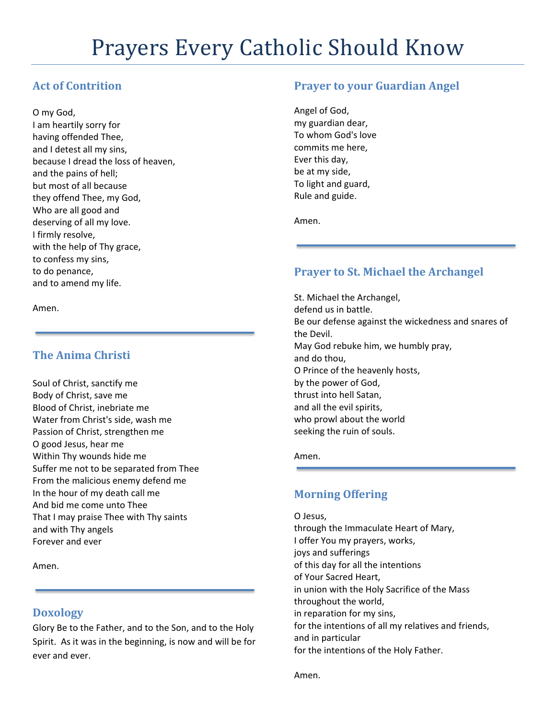# Prayers Every Catholic Should Know

# **Act of Contrition**

O my God,

I am heartily sorry for having offended Thee, and I detest all my sins, because I dread the loss of heaven, and the pains of hell; but most of all because they offend Thee, my God, Who are all good and deserving of all my love. I firmly resolve, with the help of Thy grace, to confess my sins, to do penance, and to amend my life.

Amen.

## **The Anima Christi**

Soul of Christ, sanctify me Body of Christ, save me Blood of Christ, inebriate me Water from Christ's side, wash me Passion of Christ, strengthen me O good Jesus, hear me Within Thy wounds hide me Suffer me not to be separated from Thee From the malicious enemy defend me In the hour of my death call me And bid me come unto Thee That I may praise Thee with Thy saints and with Thy angels Forever and ever

Amen.

### **Doxology**

Glory Be to the Father, and to the Son, and to the Holy Spirit. As it was in the beginning, is now and will be for ever and ever.

## **Prayer to your Guardian Angel**

Angel of God, my guardian dear, To whom God's love commits me here, Ever this day, be at my side, To light and guard, Rule and guide.

Amen.

## **Prayer to St. Michael the Archangel**

St. Michael the Archangel, defend us in battle. Be our defense against the wickedness and snares of the Devil. May God rebuke him, we humbly pray, and do thou, O Prince of the heavenly hosts, by the power of God, thrust into hell Satan, and all the evil spirits, who prowl about the world seeking the ruin of souls.

#### Amen.

## **Morning Offering**

O Jesus, through the Immaculate Heart of Mary, I offer You my prayers, works, joys and sufferings of this day for all the intentions of Your Sacred Heart, in union with the Holy Sacrifice of the Mass throughout the world, in reparation for my sins, for the intentions of all my relatives and friends, and in particular for the intentions of the Holy Father.

Amen.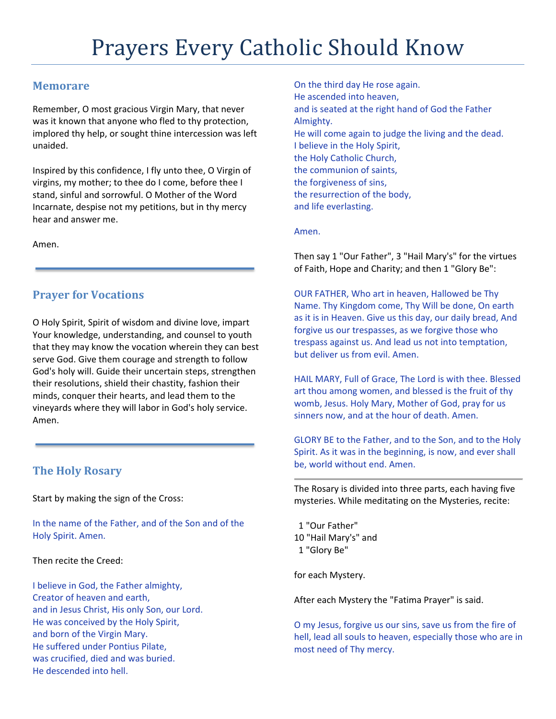## **Memorare**

Remember, O most gracious Virgin Mary, that never was it known that anyone who fled to thy protection, implored thy help, or sought thine intercession was left unaided.

Inspired by this confidence, I fly unto thee, O Virgin of virgins, my mother; to thee do I come, before thee I stand, sinful and sorrowful. O Mother of the Word Incarnate, despise not my petitions, but in thy mercy hear and answer me.

Amen.

# **Prayer for Vocations**

O Holy Spirit, Spirit of wisdom and divine love, impart Your knowledge, understanding, and counsel to youth that they may know the vocation wherein they can best serve God. Give them courage and strength to follow God's holy will. Guide their uncertain steps, strengthen their resolutions, shield their chastity, fashion their minds, conquer their hearts, and lead them to the vineyards where they will labor in God's holy service. Amen.

# **The Holy Rosary**

Start by making the sign of the Cross:

In the name of the Father, and of the Son and of the Holy Spirit. Amen.

Then recite the Creed:

I believe in God, the Father almighty, Creator of heaven and earth, and in Jesus Christ, His only Son, our Lord. He was conceived by the Holy Spirit, and born of the Virgin Mary. He suffered under Pontius Pilate, was crucified, died and was buried. He descended into hell.

On the third day He rose again. He ascended into heaven, and is seated at the right hand of God the Father Almighty. He will come again to judge the living and the dead. I believe in the Holy Spirit, the Holy Catholic Church, the communion of saints, the forgiveness of sins, the resurrection of the body, and life everlasting.

#### Amen.

Then say 1 "Our Father", 3 "Hail Mary's" for the virtues of Faith, Hope and Charity; and then 1 "Glory Be":

OUR FATHER, Who art in heaven, Hallowed be Thy Name. Thy Kingdom come, Thy Will be done, On earth as it is in Heaven. Give us this day, our daily bread, And forgive us our trespasses, as we forgive those who trespass against us. And lead us not into temptation, but deliver us from evil. Amen.

HAIL MARY, Full of Grace, The Lord is with thee. Blessed art thou among women, and blessed is the fruit of thy womb, Jesus. Holy Mary, Mother of God, pray for us sinners now, and at the hour of death. Amen.

GLORY BE to the Father, and to the Son, and to the Holy Spirit. As it was in the beginning, is now, and ever shall be, world without end. Amen.

The Rosary is divided into three parts, each having five mysteries. While meditating on the Mysteries, recite:

 1 "Our Father" 10 "Hail Mary's" and 1 "Glory Be"

for each Mystery.

After each Mystery the "Fatima Prayer" is said.

O my Jesus, forgive us our sins, save us from the fire of hell, lead all souls to heaven, especially those who are in most need of Thy mercy.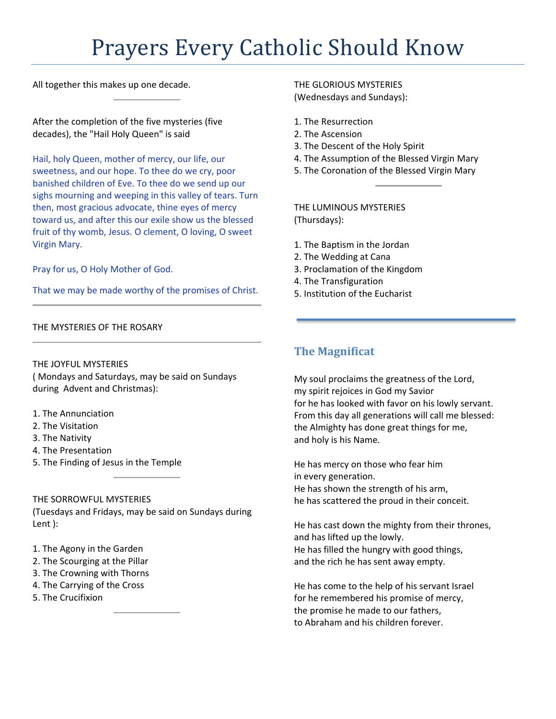# Prayers Every Catholic Should Know

All together this makes up one decade.

After the completion of the five mysteries (five decades), the "Hail Holy Queen" is said

Hail, holy Queen, mother of mercy, our life, our sweetness, and our hope. To thee do we cry, poor banished children of Eve. To thee do we send up our sighs mourning and weeping in this valley of tears. Turn then, most gracious advocate, thine eyes of mercy toward us, and after this our exile show us the blessed fruit of thy womb, Jesus. O clement, O loving, O sweet Virgin Mary.

Pray for us, O Holy Mother of God.

That we may be made worthy of the promises of Christ.

#### THE MYSTERIES OF THE ROSARY

THE JOYFUL MYSTERIES ( Mondays and Saturdays, may be said on Sundays during Advent and Christmas):

1. The Annunciation

- 2. The Visitation
- 3. The Nativity
- 4. The Presentation
- 5. The Finding of Jesus in the Temple

#### THE SORROWFUL MYSTERIES

(Tuesdays and Fridays, may be said on Sundays during Lent ):

- 1. The Agony in the Garden
- 2. The Scourging at the Pillar
- 3. The Crowning with Thorns
- 4. The Carrying of the Cross
- 5. The Crucifixion

THE GLORIOUS MYSTERIES (Wednesdays and Sundays):

- 1. The Resurrection
- 2. The Ascension
- 3. The Descent of the Holy Spirit
- 4. The Assumption of the Blessed Virgin Mary
- 5. The Coronation of the Blessed Virgin Mary

THE LUMINOUS MYSTERIES (Thursdays):

- 1. The Baptism in the Jordan
- 2. The Wedding at Cana
- 3. Proclamation of the Kingdom
- 4. The Transfiguration
- 5. Institution of the Eucharist

# **The Magnificat**

My soul proclaims the greatness of the Lord, my spirit rejoices in God my Savior for he has looked with favor on his lowly servant. From this day all generations will call me blessed: the Almighty has done great things for me, and holy is his Name.

He has mercy on those who fear him in every generation. He has shown the strength of his arm, he has scattered the proud in their conceit.

He has cast down the mighty from their thrones, and has lifted up the lowly. He has filled the hungry with good things, and the rich he has sent away empty.

He has come to the help of his servant Israel for he remembered his promise of mercy, the promise he made to our fathers, to Abraham and his children forever.